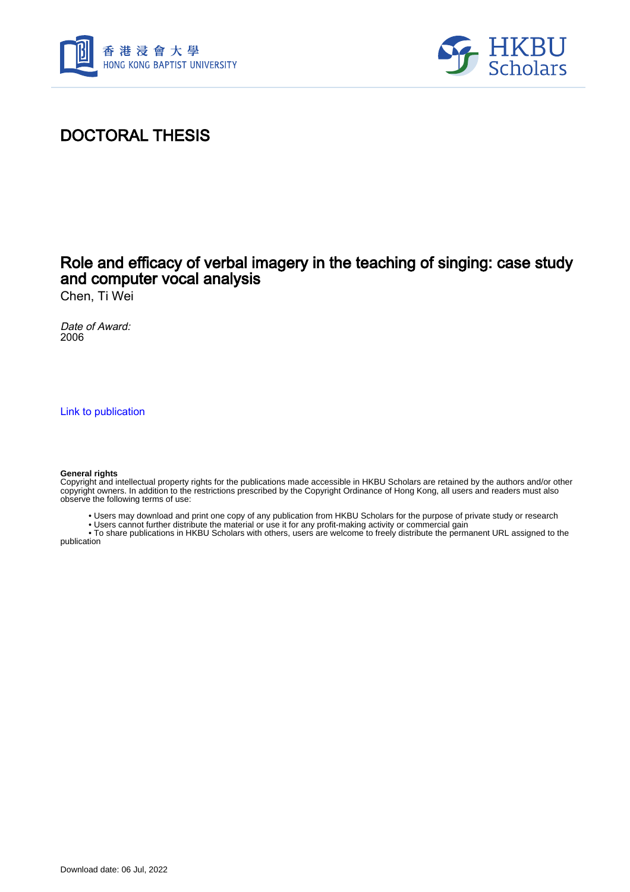



### DOCTORAL THESIS

#### Role and efficacy of verbal imagery in the teaching of singing: case study and computer vocal analysis

Chen, Ti Wei

Date of Award: 2006

[Link to publication](https://scholars.hkbu.edu.hk/en/studentTheses/43f9dc7f-490a-46ca-94cd-050c27a95d90)

#### **General rights**

Copyright and intellectual property rights for the publications made accessible in HKBU Scholars are retained by the authors and/or other copyright owners. In addition to the restrictions prescribed by the Copyright Ordinance of Hong Kong, all users and readers must also observe the following terms of use:

- Users may download and print one copy of any publication from HKBU Scholars for the purpose of private study or research
- Users cannot further distribute the material or use it for any profit-making activity or commercial gain

 • To share publications in HKBU Scholars with others, users are welcome to freely distribute the permanent URL assigned to the publication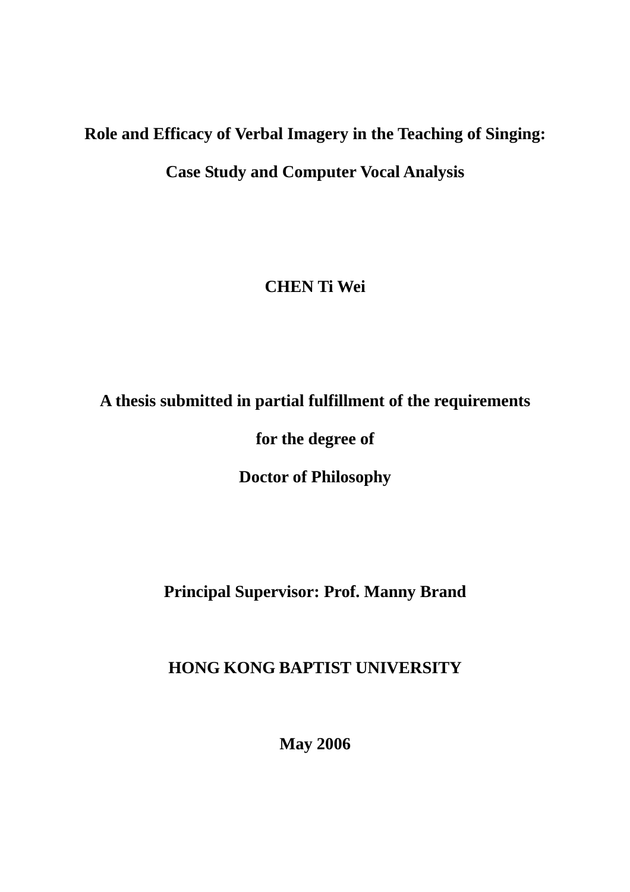# **Role and Efficacy of Verbal Imagery in the Teaching of Singing:**

**Case Study and Computer Vocal Analysis** 

## **CHEN Ti Wei**

# **A thesis submitted in partial fulfillment of the requirements**

**for the degree of** 

**Doctor of Philosophy** 

**Principal Supervisor: Prof. Manny Brand** 

## **HONG KONG BAPTIST UNIVERSITY**

**May 2006**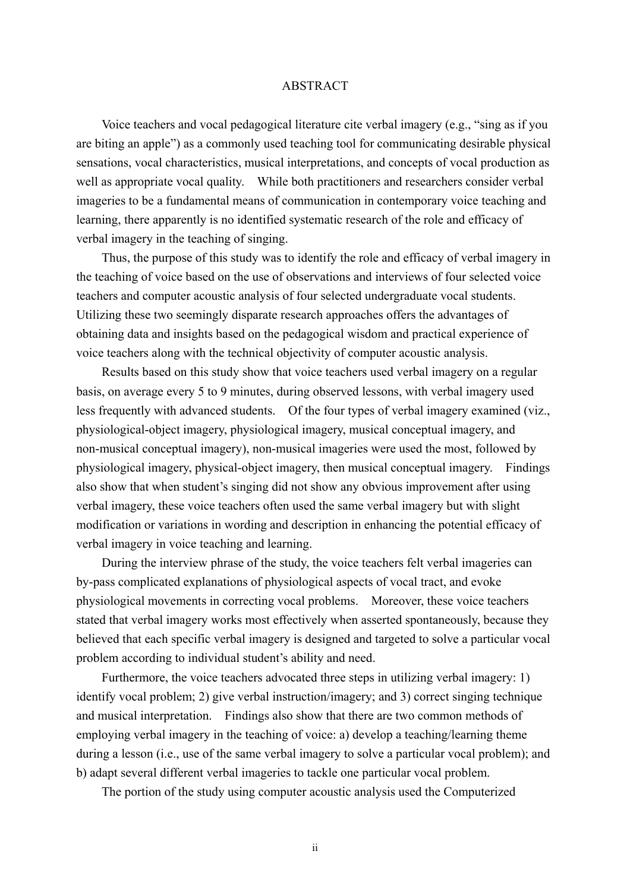#### ABSTRACT

 Voice teachers and vocal pedagogical literature cite verbal imagery (e.g., "sing as if you are biting an apple") as a commonly used teaching tool for communicating desirable physical sensations, vocal characteristics, musical interpretations, and concepts of vocal production as well as appropriate vocal quality. While both practitioners and researchers consider verbal imageries to be a fundamental means of communication in contemporary voice teaching and learning, there apparently is no identified systematic research of the role and efficacy of verbal imagery in the teaching of singing.

Thus, the purpose of this study was to identify the role and efficacy of verbal imagery in the teaching of voice based on the use of observations and interviews of four selected voice teachers and computer acoustic analysis of four selected undergraduate vocal students. Utilizing these two seemingly disparate research approaches offers the advantages of obtaining data and insights based on the pedagogical wisdom and practical experience of voice teachers along with the technical objectivity of computer acoustic analysis.

Results based on this study show that voice teachers used verbal imagery on a regular basis, on average every 5 to 9 minutes, during observed lessons, with verbal imagery used less frequently with advanced students. Of the four types of verbal imagery examined (viz., physiological-object imagery, physiological imagery, musical conceptual imagery, and non-musical conceptual imagery), non-musical imageries were used the most, followed by physiological imagery, physical-object imagery, then musical conceptual imagery. Findings also show that when student's singing did not show any obvious improvement after using verbal imagery, these voice teachers often used the same verbal imagery but with slight modification or variations in wording and description in enhancing the potential efficacy of verbal imagery in voice teaching and learning.

During the interview phrase of the study, the voice teachers felt verbal imageries can by-pass complicated explanations of physiological aspects of vocal tract, and evoke physiological movements in correcting vocal problems. Moreover, these voice teachers stated that verbal imagery works most effectively when asserted spontaneously, because they believed that each specific verbal imagery is designed and targeted to solve a particular vocal problem according to individual student's ability and need.

Furthermore, the voice teachers advocated three steps in utilizing verbal imagery: 1) identify vocal problem; 2) give verbal instruction/imagery; and 3) correct singing technique and musical interpretation. Findings also show that there are two common methods of employing verbal imagery in the teaching of voice: a) develop a teaching/learning theme during a lesson (i.e., use of the same verbal imagery to solve a particular vocal problem); and b) adapt several different verbal imageries to tackle one particular vocal problem.

The portion of the study using computer acoustic analysis used the Computerized

ii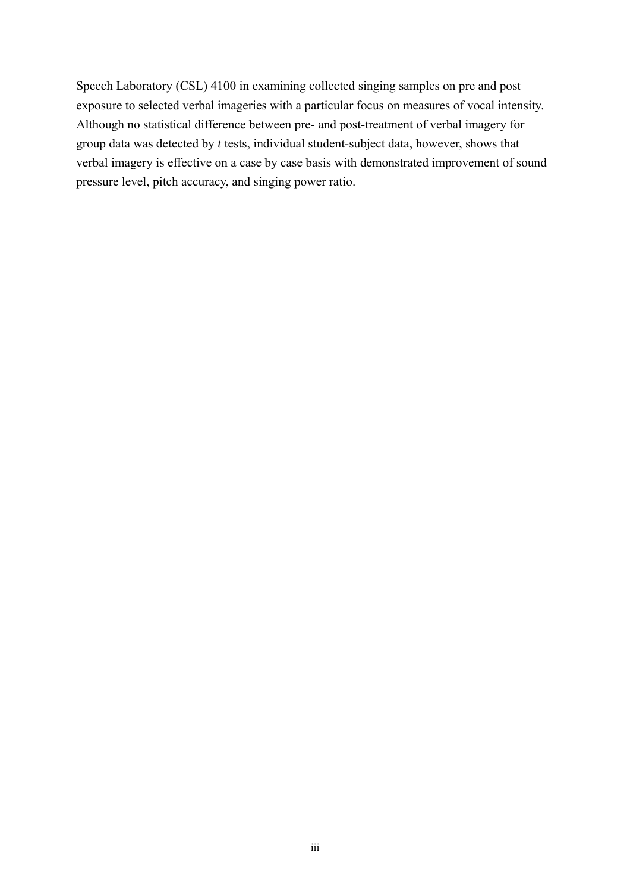Speech Laboratory (CSL) 4100 in examining collected singing samples on pre and post exposure to selected verbal imageries with a particular focus on measures of vocal intensity. Although no statistical difference between pre- and post-treatment of verbal imagery for group data was detected by *t* tests, individual student-subject data, however, shows that verbal imagery is effective on a case by case basis with demonstrated improvement of sound pressure level, pitch accuracy, and singing power ratio.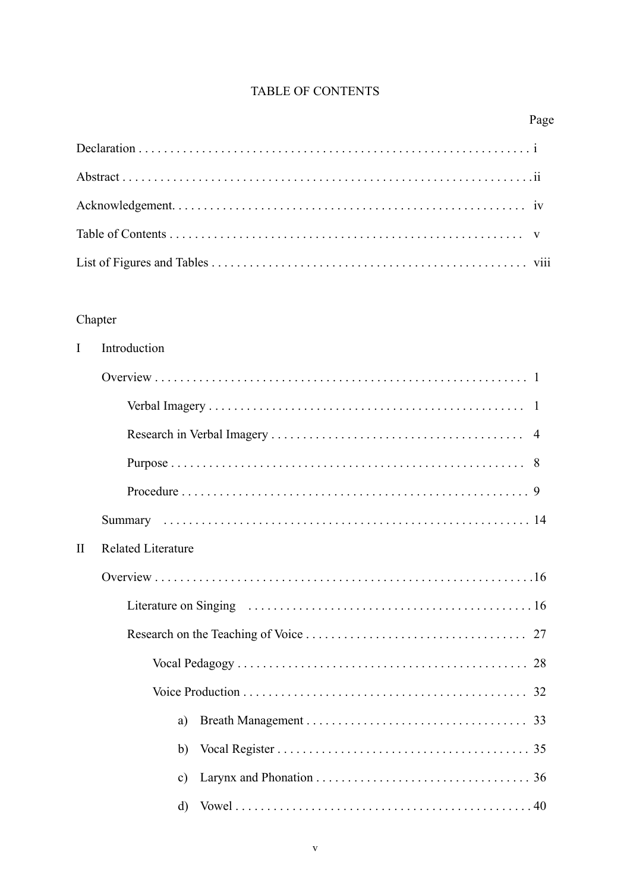### TABLE OF CONTENTS

#### Page

#### Chapter

| $\mathbf{I}$ | Introduction              |
|--------------|---------------------------|
|              |                           |
|              |                           |
|              |                           |
|              |                           |
|              |                           |
|              |                           |
| $\mathbf{I}$ | <b>Related Literature</b> |
|              |                           |
|              |                           |
|              |                           |
|              |                           |
|              |                           |
|              | a)                        |
|              | b)                        |
|              | $\mathbf{c})$             |
|              | $\rm d$                   |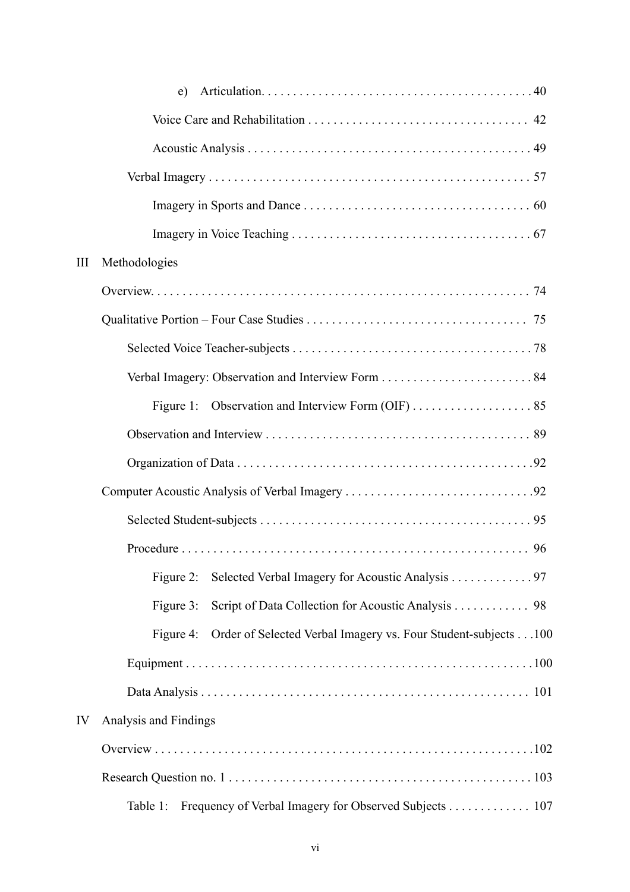|     | e)                                                                          |
|-----|-----------------------------------------------------------------------------|
|     |                                                                             |
|     |                                                                             |
|     |                                                                             |
|     |                                                                             |
|     |                                                                             |
| III | Methodologies                                                               |
|     |                                                                             |
|     |                                                                             |
|     |                                                                             |
|     |                                                                             |
|     | Figure 1:                                                                   |
|     |                                                                             |
|     |                                                                             |
|     |                                                                             |
|     |                                                                             |
|     |                                                                             |
|     | Selected Verbal Imagery for Acoustic Analysis 97<br>Figure 2:               |
|     | Script of Data Collection for Acoustic Analysis 98<br>Figure 3:             |
|     | Order of Selected Verbal Imagery vs. Four Student-subjects 100<br>Figure 4: |
|     |                                                                             |
|     |                                                                             |
| IV  | Analysis and Findings                                                       |
|     |                                                                             |
|     |                                                                             |
|     | Frequency of Verbal Imagery for Observed Subjects 107<br>Table 1:           |